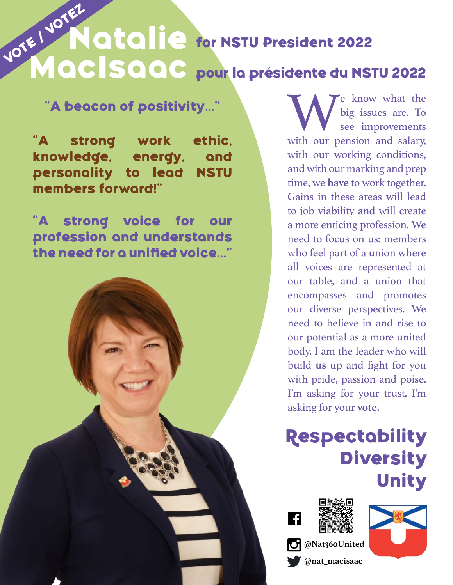## Natalie for NSTU President 2022 **pour la présidente du NSTU 2022 MacIsaacVOTE / VOTEZ**

**"A beacon of positivity..."**

**"A strong work ethic, knowledge, energy, and personality to lead NSTU members forward!"**

**"A strong voice for our profession and understands the need for a unified voice..."**



We know what the big issues are. To see improvements with our pension and salary, big issues are. To see improvements with our working conditions, and with our marking and prep time, we **have** to work together. Gains in these areas will lead to job viability and will create a more enticing profession. We need to focus on us: members who feel part of a union where all voices are represented at our table, and a union that encompasses and promotes our diverse perspectives. We need to believe in and rise to our potential as a more united body. I am the leader who will build **us** up and fight for you with pride, passion and poise. I'm asking for your trust. I'm asking for your **vote.**

**Respectability Diversity Unity**